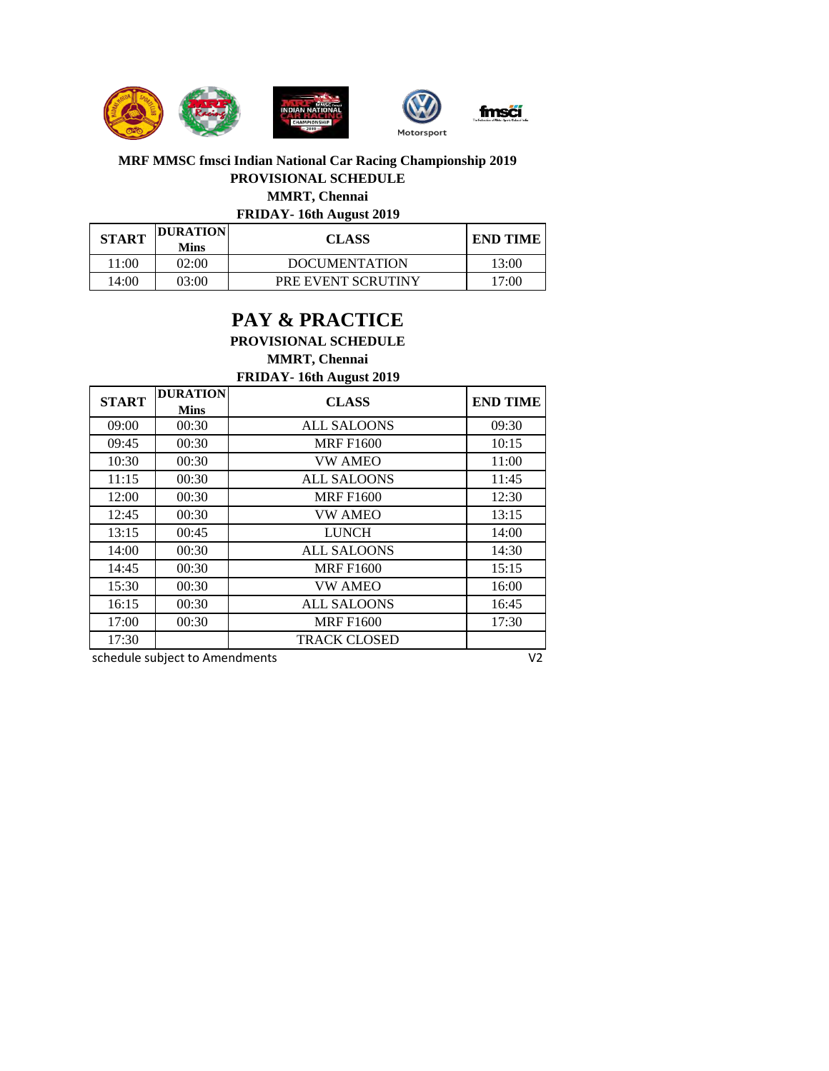

## **FRIDAY- 16th August 2019 MRF MMSC fmsci Indian National Car Racing Championship 2019 PROVISIONAL SCHEDULE MMRT, Chennai**

| <b>START</b> | <b>DURATION</b><br><b>Mins</b> | <b>CLASS</b>         | <b>END TIME</b> |  |
|--------------|--------------------------------|----------------------|-----------------|--|
| 11:00        | 02:00                          | <b>DOCUMENTATION</b> | 13:00           |  |
| 14:00        | 03:00                          | PRE EVENT SCRUTINY   | 17:00           |  |

## **PAY & PRACTICE PROVISIONAL SCHEDULE MMRT, Chennai**

**FRIDAY- 16th August 2019**

| <b>START</b> | <b>DURATION</b><br><b>Mins</b> | <b>CLASS</b>        | <b>END TIME</b> |
|--------------|--------------------------------|---------------------|-----------------|
| 09:00        | 00:30                          | ALL SALOONS         | 09:30           |
| 09:45        | 00:30                          | <b>MRF F1600</b>    | 10:15           |
| 10:30        | 00:30                          | <b>VW AMEO</b>      | 11:00           |
| 11:15        | 00:30                          | <b>ALL SALOONS</b>  | 11:45           |
| 12:00        | 00:30                          | <b>MRF F1600</b>    | 12:30           |
| 12:45        | 00:30                          | <b>VW AMEO</b>      | 13:15           |
| 13:15        | 00:45                          | <b>LUNCH</b>        | 14:00           |
| 14:00        | 00:30                          | <b>ALL SALOONS</b>  | 14:30           |
| 14:45        | 00:30                          | <b>MRF F1600</b>    | 15:15           |
| 15:30        | 00:30                          | <b>VW AMEO</b>      | 16:00           |
| 16:15        | 00:30                          | <b>ALL SALOONS</b>  | 16:45           |
| 17:00        | 00:30                          | <b>MRF F1600</b>    | 17:30           |
| 17:30        |                                | <b>TRACK CLOSED</b> |                 |

schedule subject to Amendments V2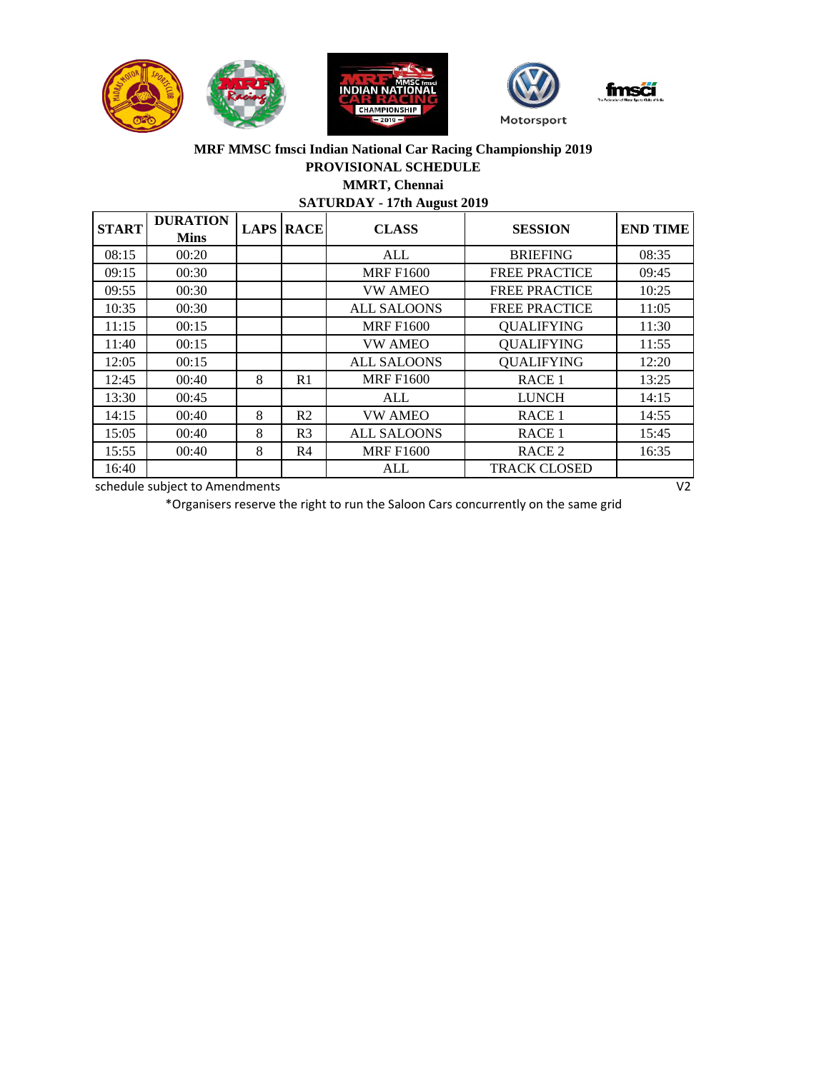



## **MRF MMSC fmsci Indian National Car Racing Championship 2019 PROVISIONAL SCHEDULE MMRT, Chennai**

**SATURDAY - 17th August 2019**

| <b>START</b> | <b>DURATION</b><br><b>Mins</b> |   | <b>LAPS RACE</b> | <b>CLASS</b>       | <b>SESSION</b>       | <b>END TIME</b> |
|--------------|--------------------------------|---|------------------|--------------------|----------------------|-----------------|
| 08:15        | 00:20                          |   |                  | ALL                | <b>BRIEFING</b>      | 08:35           |
| 09:15        | 00:30                          |   |                  | <b>MRF F1600</b>   | <b>FREE PRACTICE</b> | 09:45           |
| 09:55        | 00:30                          |   |                  | <b>VW AMEO</b>     | <b>FREE PRACTICE</b> | 10:25           |
| 10:35        | 00:30                          |   |                  | <b>ALL SALOONS</b> | <b>FREE PRACTICE</b> | 11:05           |
| 11:15        | 00:15                          |   |                  | <b>MRF F1600</b>   | <b>QUALIFYING</b>    | 11:30           |
| 11:40        | 00:15                          |   |                  | <b>VW AMEO</b>     | <b>QUALIFYING</b>    | 11:55           |
| 12:05        | 00:15                          |   |                  | <b>ALL SALOONS</b> | <b>QUALIFYING</b>    | 12:20           |
| 12:45        | 00:40                          | 8 | R1               | <b>MRF F1600</b>   | RACE <sub>1</sub>    | 13:25           |
| 13:30        | 00:45                          |   |                  | ALL                | <b>LUNCH</b>         | 14:15           |
| 14:15        | 00:40                          | 8 | R <sub>2</sub>   | <b>VW AMEO</b>     | RACE <sub>1</sub>    | 14:55           |
| 15:05        | 00:40                          | 8 | R <sub>3</sub>   | <b>ALL SALOONS</b> | RACE <sub>1</sub>    | 15:45           |
| 15:55        | 00:40                          | 8 | R4               | <b>MRF F1600</b>   | RACE <sub>2</sub>    | 16:35           |
| 16:40        |                                |   |                  | ALL                | <b>TRACK CLOSED</b>  |                 |

schedule subject to Amendments V2

\*Organisers reserve the right to run the Saloon Cars concurrently on the same grid